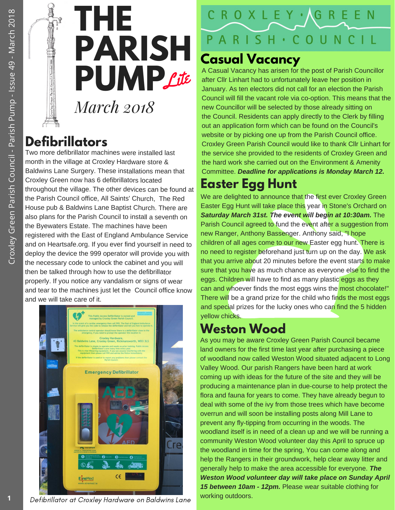# **THE PARISH PUMP** Lite

*March 2018*

#### **Defibrillators**

Two more defibrillator machines were installed last month in the village at Croxley Hardware store & Baldwins Lane Surgery. These installations mean that Croxley Green now has 6 defibrillators located throughout the village. The other devices can be found at the Parish Council office, All Saints' Church, The Red House pub & Baldwins Lane Baptist Church. There are also plans for the Parish Council to install <sup>a</sup> seventh on the Byewaters Estate. The machines have been registered with the East of England Ambulance Service and on Heartsafe.org. If you ever find yourself in need to deploy the device the 999 operator will provide you with the necessary code to unlock the cabinet and you will then be talked through how to use the defibrillator properly. If you notice any vandalism or signs of wear and tear to the machines just let the Council office know and we will take care of it.



## X L E Y · G R E SH · COUNCIL

#### **Casual Vacancy**

A Casual Vacancy has arisen for the post of Parish Councillor after Cllr Linhart had to unfortunately leave her position in January. As ten electors did not call for an election the Parish Council will fill the vacant role via co-option. This means that the new Councillor will be selected by those already sitting on the Council. Residents can apply directly to the Clerk by filling out an application form which can be found on the Council's website or by picking one up from the Parish Council office. Croxley Green Parish Council would like to thank Cllr Linhart for the service she provided to the residents of Croxley Green and the hard work she carried out on the Environment & Amenity Committee. *Deadline for applications is Monday March 12.*

## **Easter Egg Hunt**

We are delighted to announce that the first ever Croxley Green Easter Egg Hunt will take place this year in Stone's Orchard on *Saturday March 31st. The event will begin at 10:30am.* The Parish Council agreed to fund the event after a suggestion from new Ranger, Anthony Bassenger. Anthony said, "I hope children of all ages come to our new Easter egg hunt. There is no need to register beforehand just turn up on the day. We ask that you arrive about 20 minutes before the event starts to make sure that you have as much chance as everyone else to find the eggs. Children will have to find as many plastic eggs as they can and whoever finds the most eggs wins the most chocolate!" There will be a grand prize for the child who finds the most eggs and special prizes for the lucky ones who can find the 5 hidden yellow chicks.

## **Weston Wood**

As you may be aware Croxley Green Parish Council became land owners for the first time last year after purchasing a piece of woodland now called Weston Wood situated adjacent to Long Valley Wood. Our parish Rangers have been hard at work coming up with ideas for the future of the site and they will be producing a maintenance plan in due-course to help protect the flora and fauna for years to come. They have already begun to deal with some of the ivy from those trees which have become overrun and will soon be installing posts along Mill Lane to prevent any fly-tipping from occurring in the woods. The woodland itself is in need of a clean up and we will be running a community Weston Wood volunteer day this April to spruce up the woodland in time for the spring, You can come along and help the Rangers in their groundwork, help clear away litter and generally help to make the area accessible for everyone. *The Weston Wood volunteer day will take place on Sunday April 15 between 10am - 12pm.* Please wear suitable clothing for working outdoors.

Defibrillator at Croxley Hardware on Baldwins Lane